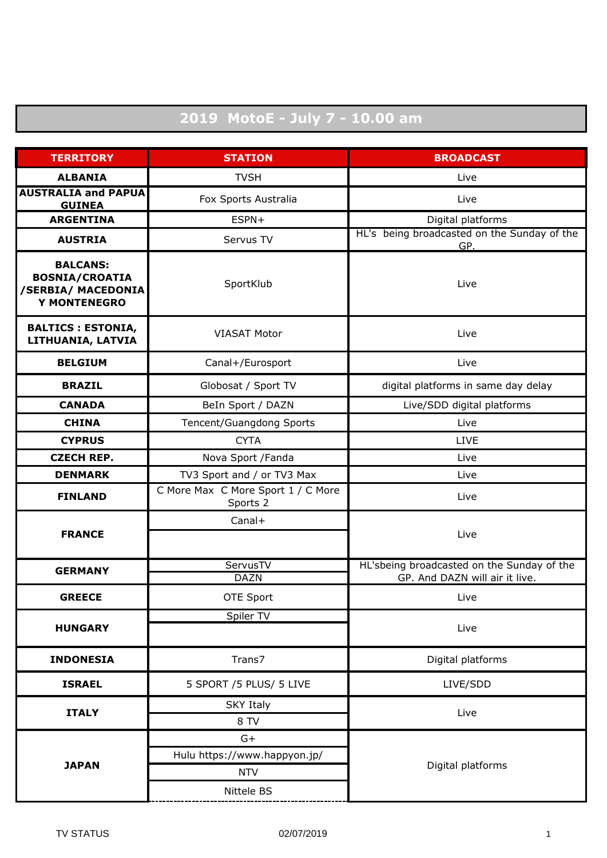## **2019 MotoE - July 7 - 10.00 am**

| <b>TERRITORY</b>                                                                      | <b>STATION</b>                                 | <b>BROADCAST</b>                                                             |
|---------------------------------------------------------------------------------------|------------------------------------------------|------------------------------------------------------------------------------|
| <b>ALBANIA</b>                                                                        | <b>TVSH</b>                                    | Live                                                                         |
| <b>AUSTRALIA and PAPUA</b><br><b>GUINEA</b>                                           | Fox Sports Australia                           | Live                                                                         |
| <b>ARGENTINA</b>                                                                      | ESPN+                                          | Digital platforms                                                            |
| <b>AUSTRIA</b>                                                                        | Servus TV                                      | HL's being broadcasted on the Sunday of the<br>GP.                           |
| <b>BALCANS:</b><br><b>BOSNIA/CROATIA</b><br>/SERBIA/ MACEDONIA<br><b>Y MONTENEGRO</b> | SportKlub                                      | Live                                                                         |
| <b>BALTICS : ESTONIA,</b><br>LITHUANIA, LATVIA                                        | <b>VIASAT Motor</b>                            | Live                                                                         |
| <b>BELGIUM</b>                                                                        | Canal+/Eurosport                               | Live                                                                         |
| <b>BRAZIL</b>                                                                         | Globosat / Sport TV                            | digital platforms in same day delay                                          |
| <b>CANADA</b>                                                                         | BeIn Sport / DAZN                              | Live/SDD digital platforms                                                   |
| <b>CHINA</b>                                                                          | Tencent/Guangdong Sports                       | Live                                                                         |
| <b>CYPRUS</b>                                                                         | <b>CYTA</b>                                    | <b>LIVE</b>                                                                  |
| <b>CZECH REP.</b>                                                                     | Nova Sport / Fanda                             | Live                                                                         |
| <b>DENMARK</b>                                                                        | TV3 Sport and / or TV3 Max                     | Live                                                                         |
| <b>FINLAND</b>                                                                        | C More Max C More Sport 1 / C More<br>Sports 2 | Live                                                                         |
| <b>FRANCE</b>                                                                         | Canal+                                         | Live                                                                         |
| <b>GERMANY</b>                                                                        | ServusTV<br><b>DAZN</b>                        | HL'sbeing broadcasted on the Sunday of the<br>GP. And DAZN will air it live. |
| <b>GREECE</b>                                                                         | OTE Sport                                      | Live                                                                         |
| <b>HUNGARY</b>                                                                        | Spiler TV                                      | Live                                                                         |
| <b>INDONESIA</b>                                                                      | Trans7                                         | Digital platforms                                                            |
| <b>ISRAEL</b>                                                                         | 5 SPORT /5 PLUS/ 5 LIVE                        | LIVE/SDD                                                                     |
| <b>ITALY</b>                                                                          | <b>SKY Italy</b><br>8 TV                       | Live                                                                         |
| <b>JAPAN</b>                                                                          | $G+$                                           |                                                                              |
|                                                                                       | Hulu https://www.happyon.jp/                   | Digital platforms                                                            |
|                                                                                       | <b>NTV</b>                                     |                                                                              |
|                                                                                       | Nittele BS                                     |                                                                              |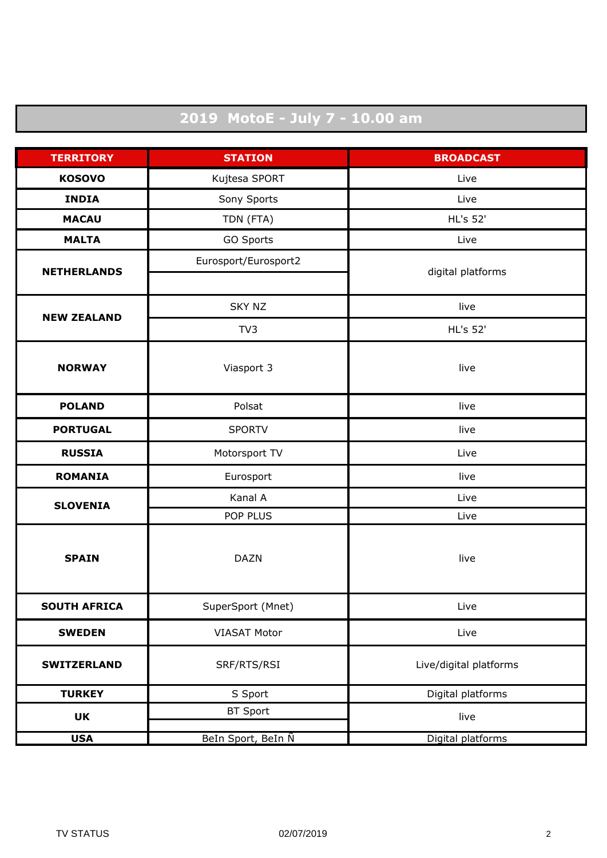## **2019 MotoE - July 7 - 10.00 am**

| <b>TERRITORY</b>    | <b>STATION</b>       | <b>BROADCAST</b>       |
|---------------------|----------------------|------------------------|
| <b>KOSOVO</b>       | Kujtesa SPORT        | Live                   |
| <b>INDIA</b>        | Sony Sports          | Live                   |
| <b>MACAU</b>        | TDN (FTA)            | <b>HL's 52'</b>        |
| <b>MALTA</b>        | GO Sports            | Live                   |
| <b>NETHERLANDS</b>  | Eurosport/Eurosport2 | digital platforms      |
|                     |                      |                        |
| <b>NEW ZEALAND</b>  | <b>SKY NZ</b>        | live                   |
|                     | TV3                  | <b>HL's 52'</b>        |
| <b>NORWAY</b>       | Viasport 3           | live                   |
|                     |                      |                        |
| <b>POLAND</b>       | Polsat               | live                   |
| <b>PORTUGAL</b>     | <b>SPORTV</b>        | live                   |
| <b>RUSSIA</b>       | Motorsport TV        | Live                   |
| <b>ROMANIA</b>      | Eurosport            | live                   |
| <b>SLOVENIA</b>     | Kanal A              | Live                   |
|                     | POP PLUS             | Live                   |
| <b>SPAIN</b>        |                      |                        |
|                     | <b>DAZN</b>          | live                   |
|                     |                      |                        |
| <b>SOUTH AFRICA</b> | SuperSport (Mnet)    | Live                   |
| <b>SWEDEN</b>       | <b>VIASAT Motor</b>  | Live                   |
| <b>SWITZERLAND</b>  | SRF/RTS/RSI          | Live/digital platforms |
| <b>TURKEY</b>       | S Sport              | Digital platforms      |
| <b>UK</b>           | <b>BT Sport</b>      | live                   |
| <b>USA</b>          | BeIn Sport, BeIn N   | Digital platforms      |